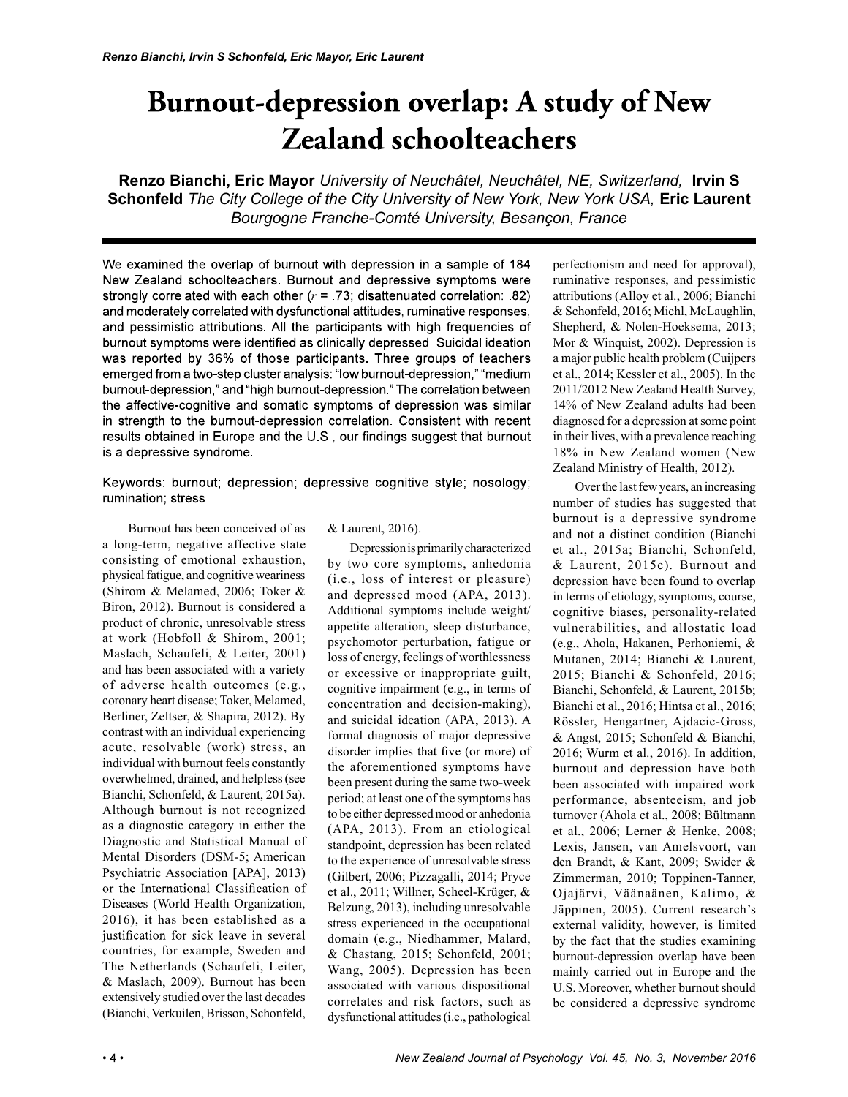# **Burnout-depression overlap: A study of New Zealand schoolteachers**

Renzo Bianchi, Eric Mayor University of Neuchâtel, Neuchâtel, NE, Switzerland, Irvin S Schonfeld The City College of the City University of New York, New York USA, Eric Laurent Bourgogne Franche-Comté University, Besançon, France

We examined the overlap of burnout with depression in a sample of 184 New Zealand schoolteachers. Burnout and depressive symptoms were strongly correlated with each other  $(r = .73)$ ; disattenuated correlation: 82) and moderately correlated with dysfunctional attitudes, ruminative responses, and pessimistic attributions. All the participants with high frequencies of burnout symptoms were identified as clinically depressed. Suicidal ideation was reported by 36% of those participants. Three groups of teachers emerged from a two-step cluster analysis: "low burnout-depression," "medium burnout-depression," and "high burnout-depression." The correlation between the affective-cognitive and somatic symptoms of depression was similar in strength to the burnout-depression correlation. Consistent with recent results obtained in Europe and the U.S., our findings suggest that burnout is a depressive syndrome.

Keywords: burnout; depression; depressive cognitive style; nosology; rumination: stress

 Burnout has been conceived of as a long-term, negative affective state consisting of emotional exhaustion, physical fatigue, and cognitive weariness (Shirom & Melamed, 2006; Toker & Biron, 2012). Burnout is considered a product of chronic, unresolvable stress at work (Hobfoll & Shirom, 2001; Maslach, Schaufeli, & Leiter, 2001) and has been associated with a variety of adverse health outcomes (e.g., coronary heart disease; Toker, Melamed, Berliner, Zeltser, & Shapira, 2012). By contrast with an individual experiencing acute, resolvable (work) stress, an individual with burnout feels constantly overwhelmed, drained, and helpless (see Bianchi, Schonfeld, & Laurent, 2015a). Although burnout is not recognized as a diagnostic category in either the Diagnostic and Statistical Manual of Mental Disorders (DSM-5; American Psychiatric Association [APA], 2013) or the International Classification of Diseases (World Health Organization, 2016), it has been established as a justification for sick leave in several countries, for example, Sweden and The Netherlands (Schaufeli, Leiter, & Maslach, 2009). Burnout has been extensively studied over the last decades (Bianchi, Verkuilen, Brisson, Schonfeld,

#### & Laurent, 2016).

Depression is primarily characterized by two core symptoms, anhedonia (i.e., loss of interest or pleasure) and depressed mood (APA, 2013). Additional symptoms include weight/ appetite alteration, sleep disturbance, psychomotor perturbation, fatigue or loss of energy, feelings of worthlessness or excessive or inappropriate guilt, cognitive impairment (e.g., in terms of concentration and decision-making), and suicidal ideation (APA, 2013). A formal diagnosis of major depressive disorder implies that five (or more) of the aforementioned symptoms have been present during the same two-week period; at least one of the symptoms has to be either depressed mood or anhedonia (APA, 2013). From an etiological standpoint, depression has been related to the experience of unresolvable stress (Gilbert, 2006; Pizzagalli, 2014; Pryce et al., 2011; Willner, Scheel-Krüger, & Belzung, 2013), including unresolvable stress experienced in the occupational domain (e.g., Niedhammer, Malard, & Chastang, 2015; Schonfeld, 2001; Wang, 2005). Depression has been associated with various dispositional correlates and risk factors, such as dysfunctional attitudes (i.e., pathological

perfectionism and need for approval), ruminative responses, and pessimistic attributions (Alloy et al., 2006; Bianchi & Schonfeld, 2016; Michl, McLaughlin, Shepherd, & Nolen-Hoeksema, 2013; Mor & Winquist, 2002). Depression is a major public health problem (Cuijpers et al., 2014; Kessler et al., 2005). In the 2011/2012 New Zealand Health Survey, 14% of New Zealand adults had been diagnosed for a depression at some point in their lives, with a prevalence reaching 18% in New Zealand women (New Zealand Ministry of Health, 2012).

Over the last few years, an increasing number of studies has suggested that burnout is a depressive syndrome and not a distinct condition (Bianchi et al., 2015a; Bianchi, Schonfeld, & Laurent, 2015c). Burnout and depression have been found to overlap in terms of etiology, symptoms, course, cognitive biases, personality-related vulnerabilities, and allostatic load (e.g., Ahola, Hakanen, Perhoniemi, & Mutanen, 2014; Bianchi & Laurent, 2015; Bianchi & Schonfeld, 2016; Bianchi, Schonfeld, & Laurent, 2015b; Bianchi et al., 2016; Hintsa et al., 2016; Rössler, Hengartner, Ajdacic-Gross, & Angst, 2015; Schonfeld & Bianchi, 2016; Wurm et al., 2016). In addition, burnout and depression have both been associated with impaired work performance, absenteeism, and job turnover (Ahola et al., 2008; Bültmann et al., 2006; Lerner & Henke, 2008; Lexis, Jansen, van Amelsvoort, van den Brandt, & Kant, 2009; Swider & Zimmerman, 2010; Toppinen-Tanner, Ojajärvi, Väänaänen, Kalimo, & Jäppinen, 2005). Current research's external validity, however, is limited by the fact that the studies examining burnout-depression overlap have been mainly carried out in Europe and the U.S. Moreover, whether burnout should be considered a depressive syndrome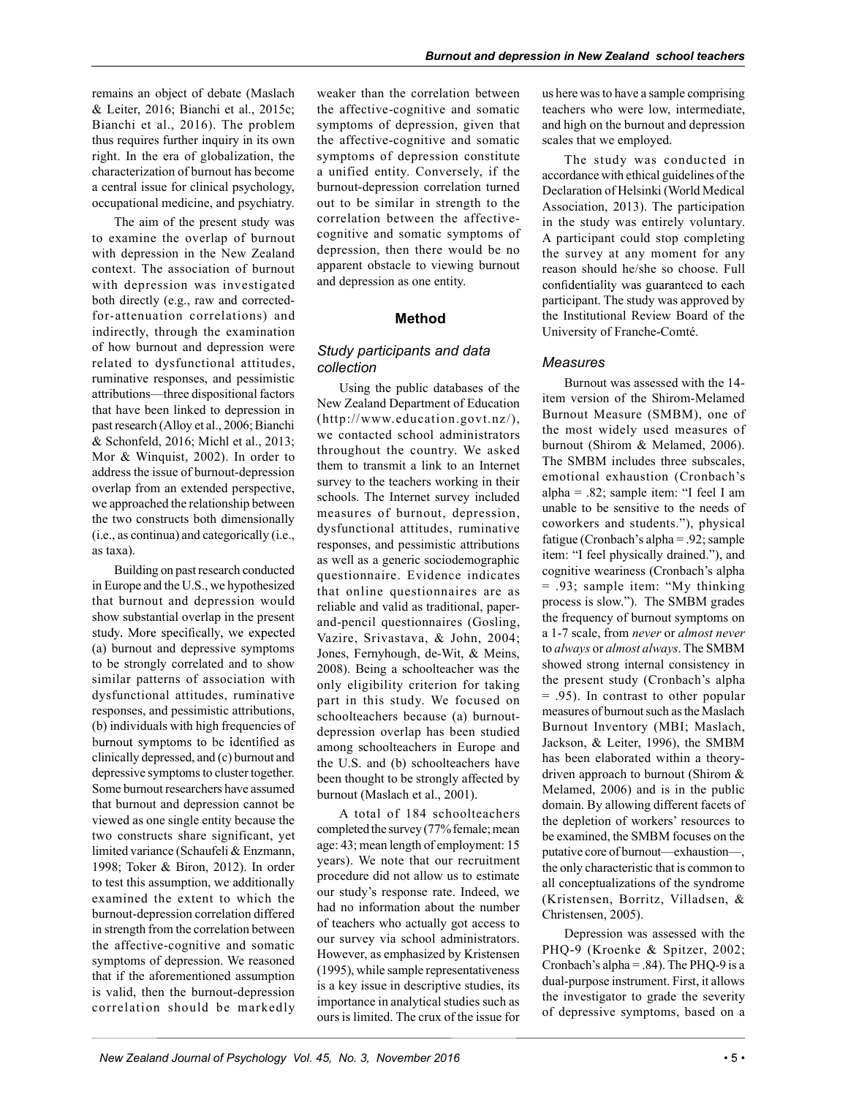remains an object of debate (Maslach & Leiter, 2016; Bianchi et al., 2015c; Bianchi et al., 2016). The problem thus requires further inquiry in its own right. In the era of globalization, the characterization of burnout has become a central issue for clinical psychology, occupational medicine, and psychiatry.

The aim of the present study was to examine the overlap of burnout with depression in the New Zealand context. The association of burnout with depression was investigated both directly (e.g., raw and correctedfor-attenuation correlations) and indirectly, through the examination of how burnout and depression were related to dysfunctional attitudes, ruminative responses, and pessimistic attributions—three dispositional factors that have been linked to depression in past research (Alloy et al., 2006; Bianchi & Schonfeld, 2016; Michl et al., 2013; Mor & Winquist, 2002). In order to address the issue of burnout-depression overlap from an extended perspective, we approached the relationship between the two constructs both dimensionally (i.e., as continua) and categorically (i.e., as taxa).

Building on past research conducted in Europe and the U.S., we hypothesized that burnout and depression would show substantial overlap in the present study. More specifically, we expected (a) burnout and depressive symptoms to be strongly correlated and to show similar patterns of association with dysfunctional attitudes, ruminative responses, and pessimistic attributions, (b) individuals with high frequencies of burnout symptoms to be identified as clinically depressed, and (c) burnout and depressive symptoms to cluster together. Some burnout researchers have assumed that burnout and depression cannot be viewed as one single entity because the two constructs share significant, yet limited variance (Schaufeli & Enzmann, 1998; Toker & Biron, 2012). In order to test this assumption, we additionally examined the extent to which the burnout-depression correlation differed in strength from the correlation between the affective-cognitive and somatic symptoms of depression. We reasoned that if the aforementioned assumption is valid, then the burnout-depression correlation should be markedly

weaker than the correlation between the affective-cognitive and somatic symptoms of depression, given that the affective-cognitive and somatic symptoms of depression constitute a unified entity. Conversely, if the burnout-depression correlation turned out to be similar in strength to the correlation between the affectivecognitive and somatic symptoms of depression, then there would be no apparent obstacle to viewing burnout and depression as one entity.

## Method

# Study participants and data collection

Using the public databases of the New Zealand Department of Education (http://www.education.govt.nz/), we contacted school administrators throughout the country. We asked them to transmit a link to an Internet survey to the teachers working in their schools. The Internet survey included measures of burnout, depression, dysfunctional attitudes, ruminative responses, and pessimistic attributions as well as a generic sociodemographic questionnaire. Evidence indicates that online questionnaires are as reliable and valid as traditional, paperand-pencil questionnaires (Gosling, Vazire, Srivastava, & John, 2004; Jones, Fernyhough, de-Wit, & Meins, 2008). Being a schoolteacher was the only eligibility criterion for taking part in this study. We focused on schoolteachers because (a) burnoutdepression overlap has been studied among schoolteachers in Europe and the U.S. and (b) schoolteachers have been thought to be strongly affected by burnout (Maslach et al., 2001).

A total of 184 schoolteachers completed the survey (77% female; mean age: 43; mean length of employment: 15 years). We note that our recruitment procedure did not allow us to estimate our study's response rate. Indeed, we had no information about the number of teachers who actually got access to our survey via school administrators. However, as emphasized by Kristensen (1995), while sample representativeness is a key issue in descriptive studies, its importance in analytical studies such as ours is limited. The crux of the issue for

us here was to have a sample comprising teachers who were low, intermediate, and high on the burnout and depression scales that we employed.

The study was conducted in accordance with ethical guidelines of the Declaration of Helsinki (World Medical Association, 2013). The participation in the study was entirely voluntary. A participant could stop completing the survey at any moment for any reason should he/she so choose. Full confidentiality was guaranteed to each participant. The study was approved by the Institutional Review Board of the University of Franche-Comté.

# **Measures**

Burnout was assessed with the 14 item version of the Shirom-Melamed Burnout Measure (SMBM), one of the most widely used measures of burnout (Shirom & Melamed, 2006). The SMBM includes three subscales, emotional exhaustion (Cronbach's alpha =  $.82$ ; sample item: "I feel I am unable to be sensitive to the needs of coworkers and students."), physical fatigue (Cronbach's alpha = .92; sample item: "I feel physically drained."), and cognitive weariness (Cronbach's alpha = .93; sample item: "My thinking process is slow."). The SMBM grades the frequency of burnout symptoms on a 1-7 scale, from never or almost never to always or almost always. The SMBM showed strong internal consistency in the present study (Cronbach's alpha = .95). In contrast to other popular measures of burnout such as the Maslach Burnout Inventory (MBI; Maslach, Jackson, & Leiter, 1996), the SMBM has been elaborated within a theorydriven approach to burnout (Shirom & Melamed, 2006) and is in the public domain. By allowing different facets of the depletion of workers' resources to be examined, the SMBM focuses on the putative core of burnout—exhaustion—, the only characteristic that is common to all conceptualizations of the syndrome (Kristensen, Borritz, Villadsen, & Christensen, 2005).

Depression was assessed with the PHQ-9 (Kroenke & Spitzer, 2002; Cronbach's alpha =  $.84$ ). The PHO-9 is a dual-purpose instrument. First, it allows the investigator to grade the severity of depressive symptoms, based on a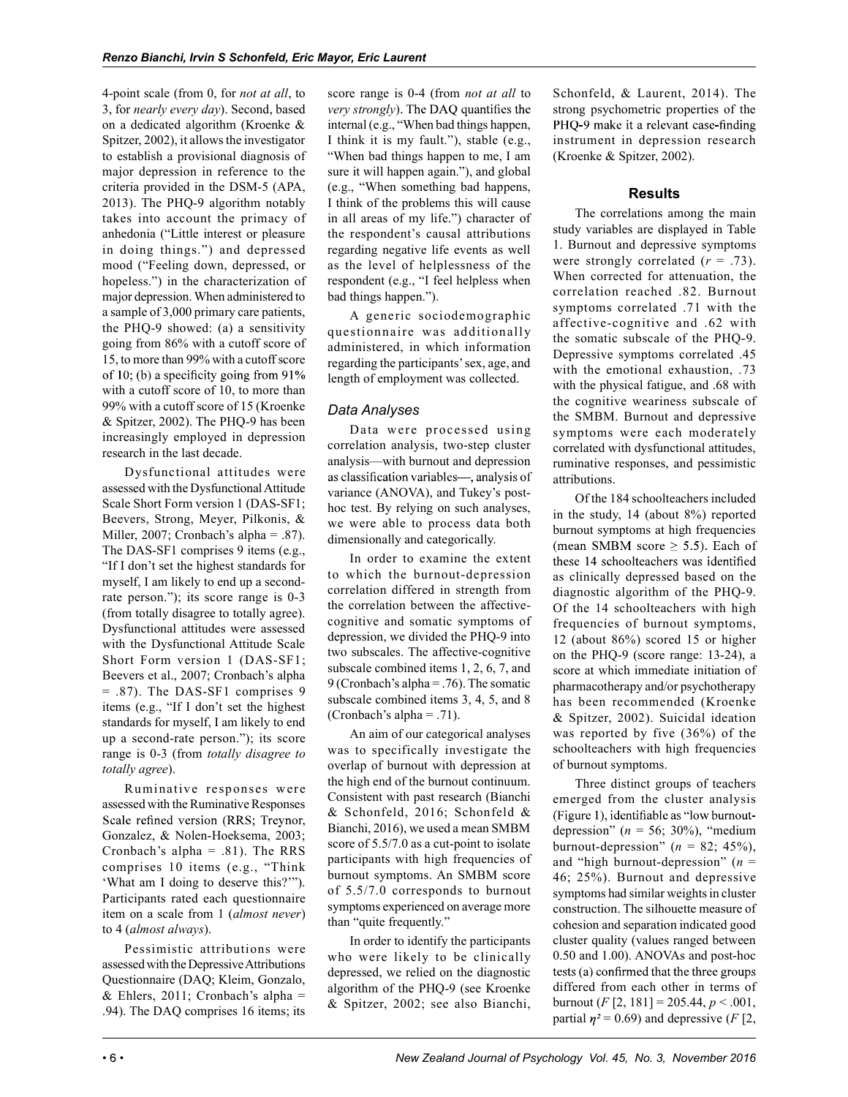4-point scale (from 0, for not at all, to 3, for nearly every day). Second, based on a dedicated algorithm (Kroenke & Spitzer, 2002), it allows the investigator to establish a provisional diagnosis of major depression in reference to the criteria provided in the DSM-5 (APA, 2013). The PHQ-9 algorithm notably takes into account the primacy of anhedonia ("Little interest or pleasure in doing things.") and depressed mood ("Feeling down, depressed, or hopeless.") in the characterization of major depression. When administered to a sample of 3,000 primary care patients, the PHQ-9 showed: (a) a sensitivity going from 86% with a cutoff score of 15, to more than 99% with a cutoff score of 10; (b) a specificity going from  $91\%$ with a cutoff score of 10, to more than 99% with a cutoff score of 15 (Kroenke & Spitzer, 2002). The PHQ-9 has been increasingly employed in depression research in the last decade.

Dysfunctional attitudes were assessed with the Dysfunctional Attitude Scale Short Form version 1 (DAS-SF1; Beevers, Strong, Meyer, Pilkonis, & Miller, 2007; Cronbach's alpha = .87). The DAS-SF1 comprises 9 items (e.g., "If I don't set the highest standards for myself, I am likely to end up a secondrate person."); its score range is 0-3 (from totally disagree to totally agree). Dysfunctional attitudes were assessed with the Dysfunctional Attitude Scale Short Form version 1 (DAS-SF1; Beevers et al., 2007; Cronbach's alpha = .87). The DAS-SF1 comprises 9 items (e.g., "If I don't set the highest standards for myself, I am likely to end up a second-rate person."); its score range is 0-3 (from totally disagree to totally agree).

Ruminative responses were assessed with the Ruminative Responses Scale refined version (RRS; Treynor, Gonzalez, & Nolen-Hoeksema, 2003; Cronbach's alpha  $= .81$ ). The RRS comprises 10 items (e.g., "Think 'What am I doing to deserve this?'"). Participants rated each questionnaire item on a scale from 1 (almost never) to 4 (almost always).

Pessimistic attributions were assessed with the Depressive Attributions Questionnaire (DAQ; Kleim, Gonzalo,  $&$  Ehlers, 2011; Cronbach's alpha = .94). The DAQ comprises 16 items; its

score range is 0-4 (from *not at all* to *very strongly*). The DAQ quantifies the internal (e.g., "When bad things happen, I think it is my fault."), stable (e.g., "When bad things happen to me, I am sure it will happen again."), and global (e.g., "When something bad happens, I think of the problems this will cause in all areas of my life.") character of the respondent's causal attributions regarding negative life events as well as the level of helplessness of the respondent (e.g., "I feel helpless when bad things happen.").

A generic sociodemographic questionnaire was additionally administered, in which information regarding the participants' sex, age, and length of employment was collected.

# Data Analyses

Data were processed using correlation analysis, two-step cluster analysis—with burnout and depression as classification variables—, analysis of variance (ANOVA), and Tukey's posthoc test. By relying on such analyses, we were able to process data both dimensionally and categorically.

In order to examine the extent to which the burnout-depression correlation differed in strength from the correlation between the affectivecognitive and somatic symptoms of depression, we divided the PHQ-9 into two subscales. The affective-cognitive subscale combined items 1, 2, 6, 7, and 9 (Cronbach's alpha = .76). The somatic subscale combined items 3, 4, 5, and 8 (Cronbach's alpha =  $.71$ ).

An aim of our categorical analyses was to specifically investigate the overlap of burnout with depression at the high end of the burnout continuum. Consistent with past research (Bianchi & Schonfeld, 2016; Schonfeld & Bianchi, 2016), we used a mean SMBM score of  $5.5/7.0$  as a cut-point to isolate participants with high frequencies of burnout symptoms. An SMBM score of 5.5/7.0 corresponds to burnout symptoms experienced on average more than "quite frequently."

In order to identify the participants who were likely to be clinically depressed, we relied on the diagnostic algorithm of the PHQ-9 (see Kroenke & Spitzer, 2002; see also Bianchi, Schonfeld, & Laurent, 2014). The strong psychometric properties of the PHQ-9 make it a relevant case-finding instrument in depression research (Kroenke & Spitzer, 2002).

# Results

The correlations among the main study variables are displayed in Table 1. Burnout and depressive symptoms were strongly correlated  $(r = .73)$ . When corrected for attenuation, the correlation reached .82. Burnout symptoms correlated .71 with the affective-cognitive and .62 with the somatic subscale of the PHQ-9. Depressive symptoms correlated .45 with the emotional exhaustion, .73 with the physical fatigue, and .68 with the cognitive weariness subscale of the SMBM. Burnout and depressive symptoms were each moderately correlated with dysfunctional attitudes, ruminative responses, and pessimistic attributions.

Of the 184 schoolteachers included in the study, 14 (about 8%) reported burnout symptoms at high frequencies (mean SMBM score  $\geq$  5.5). Each of these 14 schoolteachers was identified as clinically depressed based on the diagnostic algorithm of the PHQ-9. Of the 14 schoolteachers with high frequencies of burnout symptoms, 12 (about 86%) scored 15 or higher on the PHQ-9 (score range: 13-24), a score at which immediate initiation of pharmacotherapy and/or psychotherapy has been recommended (Kroenke & Spitzer, 2002). Suicidal ideation was reported by five (36%) of the schoolteachers with high frequencies of burnout symptoms.

Three distinct groups of teachers emerged from the cluster analysis (Figure 1), identifiable as "low burnoutdepression" ( $n = 56$ ; 30%), "medium burnout-depression" ( $n = 82$ ; 45%), and "high burnout-depression" ( $n =$ 46; 25%). Burnout and depressive symptoms had similar weights in cluster construction. The silhouette measure of cohesion and separation indicated good cluster quality (values ranged between 0.50 and 1.00). ANOVAs and post-hoc tests (a) confirmed that the three groups differed from each other in terms of burnout (*F* [2, 181] = 205.44,  $p < .001$ , partial  $\eta$ <sup>2</sup> = 0.69) and depressive (F [2,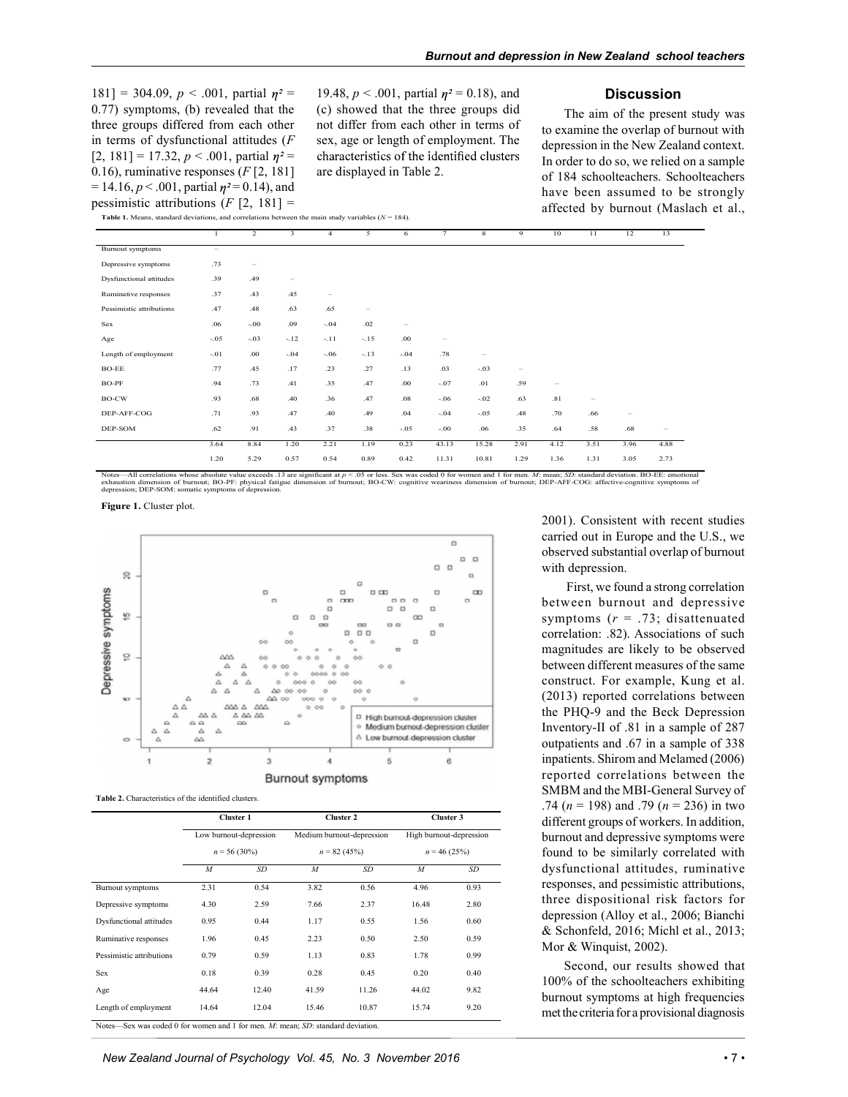$181$ ] = 304.09,  $p < .001$ , partial  $n^2$  = 0.77) symptoms, (b) revealed that the three groups differed from each other in terms of dysfunctional attitudes  $(F)$ [2, 181] = 17.32,  $p < .001$ , partial  $\eta^2 =$ 0.16), ruminative responses  $(F [2, 181]$  $= 14.16$ ,  $p < .001$ , partial  $\eta^2 = 0.14$ ), and pessimistic attributions  $(F [2, 181] =$ 

19.48,  $p < .001$ , partial  $\eta^2 = 0.18$ ), and (c) showed that the three groups did not differ from each other in terms of sex, age or length of employment. The characteristics of the identified clusters are displayed in Table 2.

#### **Discussion**

The aim of the present study was to examine the overlap of burnout with depression in the New Zealand context. In order to do so, we relied on a sample of 184 schoolteachers. Schoolteachers have been assumed to be strongly affected by burnout (Maslach et al.,

Table 1. Means, standard deviations, and correlations between the main study variables  $(N = 184)$ .

|                                |        |         |                   |                          |                          | 6      |                   | 8                               | 9               | 10                              | 11     | 12                       | 13     |
|--------------------------------|--------|---------|-------------------|--------------------------|--------------------------|--------|-------------------|---------------------------------|-----------------|---------------------------------|--------|--------------------------|--------|
| <b>Burnout</b> symptoms        | $-$    |         |                   |                          |                          |        |                   |                                 |                 |                                 |        |                          |        |
| Depressive symptoms            | .73    | $\sim$  |                   |                          |                          |        |                   |                                 |                 |                                 |        |                          |        |
| <b>Dysfunctional</b> attitudes | .39    | .49     | $\qquad \qquad =$ |                          |                          |        |                   |                                 |                 |                                 |        |                          |        |
| Ruminative responses           | .37    | .43     | .45               | $\overline{\phantom{0}}$ |                          |        |                   |                                 |                 |                                 |        |                          |        |
| Pessimistic attributions       | .47    | .48     | .63               | .65                      | $\overline{\phantom{a}}$ |        |                   |                                 |                 |                                 |        |                          |        |
| Sex                            | .06    | $-0.00$ | .09               | $-.04$                   | .02                      |        |                   |                                 |                 |                                 |        |                          |        |
| Age                            | $-.05$ | $-.03$  | $-.12$            | $-.11$                   | $-.15$                   | .00    | $\hspace{0.05cm}$ |                                 |                 |                                 |        |                          |        |
| Length of employment           | $-.01$ | .00.    | $-.04$            | $-.06$                   | $-.13$                   | $-.04$ | .78               | $\hspace{0.1mm}-\hspace{0.1mm}$ |                 |                                 |        |                          |        |
| $BO-EE$                        | .77    | .45     | .17               | .23                      | .27                      | .13    | .03               | $-.03$                          | $\qquad \qquad$ |                                 |        |                          |        |
| BO-PF                          | .94    | .73     | .41               | .35                      | .47                      | .00.   | $-.07$            | .01                             | .59             | $\hspace{0.1mm}-\hspace{0.1mm}$ |        |                          |        |
| BO-CW                          | .93    | .68     | .40               | .36                      | .47                      | .08    | $-.06$            | $-.02$                          | .63             | .81                             | $\sim$ |                          |        |
| DEP-AFF-COG                    | .71    | .93     | .47               | .40                      | .49                      | .04    | $-.04$            | $-.05$                          | .48             | .70                             | .66    | $\overline{\phantom{a}}$ |        |
| DEP-SOM                        | .62    | .91     | .43               | .37                      | .38                      | $-.05$ | $-.00$            | .06                             | .35             | .64                             | .58    | .68                      | $\sim$ |
|                                | 3.64   | 8.84    | 1.20              | 2.21                     | 1.19                     | 0.23   | 43.13             | 15.28                           | 2.91            | 4.12                            | 3.51   | 3.96                     | 4.88   |
|                                | 1.20   | 5.29    | 0.57              | 0.54                     | 0.89                     | 0.42   | 11.31             | 10.81                           | 1.29            | 1.36                            | 1.31   | 3.05                     | 2.73   |







|                                                                                       | Cluster 1        |                        |                | Cluster 2                 | Cluster 3        |                         |
|---------------------------------------------------------------------------------------|------------------|------------------------|----------------|---------------------------|------------------|-------------------------|
|                                                                                       |                  | Low burnout-depression |                | Medium burnout-depression |                  | High burnout-depression |
|                                                                                       |                  | $n = 56(30\%)$         |                | $n = 82(45%)$             | $n = 46(25%)$    |                         |
|                                                                                       | $\boldsymbol{M}$ | <b>SD</b>              | $\overline{M}$ | <b>SD</b>                 | $\boldsymbol{M}$ | <b>SD</b>               |
| Burnout symptoms                                                                      | 2.31             | 0.54                   | 3.82           | 0.56                      | 4.96             | 0.93                    |
| Depressive symptoms                                                                   | 4.30             | 2.59                   | 7.66           | 2.37                      | 16.48            | 2.80                    |
| <b>Dysfunctional attitudes</b>                                                        | 0.95             | 0.44                   | 1.17           | 0.55                      | 1.56             | 0.60                    |
| Ruminative responses                                                                  | 1.96             | 0.45                   | 2.23           | 0.50                      | 2.50             | 0.59                    |
| Pessimistic attributions                                                              | 0.79             | 0.59                   | 1.13           | 0.83                      | 1.78             | 0.99                    |
| Sex                                                                                   | 0.18             | 0.39                   | 0.28           | 0.45                      | 0.20             | 0.40                    |
| Age                                                                                   | 44.64            | 12.40                  | 41.59          | 11.26                     | 44.02            | 9.82                    |
| Length of employment                                                                  | 14.64            | 12.04                  | 15.46          | 10.87                     | 15.74            | 9.20                    |
| Notes—Sex was coded 0 for women and 1 for men. $M$ : mean; $SD$ : standard deviation. |                  |                        |                |                           |                  |                         |

2001). Consistent with recent studies carried out in Europe and the U.S., we observed substantial overlap of burnout with depression.

 First, we found a strong correlation between burnout and depressive symptoms  $(r = .73;$  disattenuated correlation: .82). Associations of such magnitudes are likely to be observed between different measures of the same construct. For example, Kung et al. (2013) reported correlations between the PHQ-9 and the Beck Depression Inventory-II of .81 in a sample of 287 outpatients and .67 in a sample of 338 inpatients. Shirom and Melamed (2006) reported correlations between the SMBM and the MBI-General Survey of .74 ( $n = 198$ ) and .79 ( $n = 236$ ) in two found to be similarly correlated with dysfunctional attitudes, ruminative responses, and pessimistic attributions, three dispositional risk factors for depression (Alloy et al., 2006; Bianchi & Schonfeld, 2016; Michl et al., 2013; Mor & Winquist, 2002).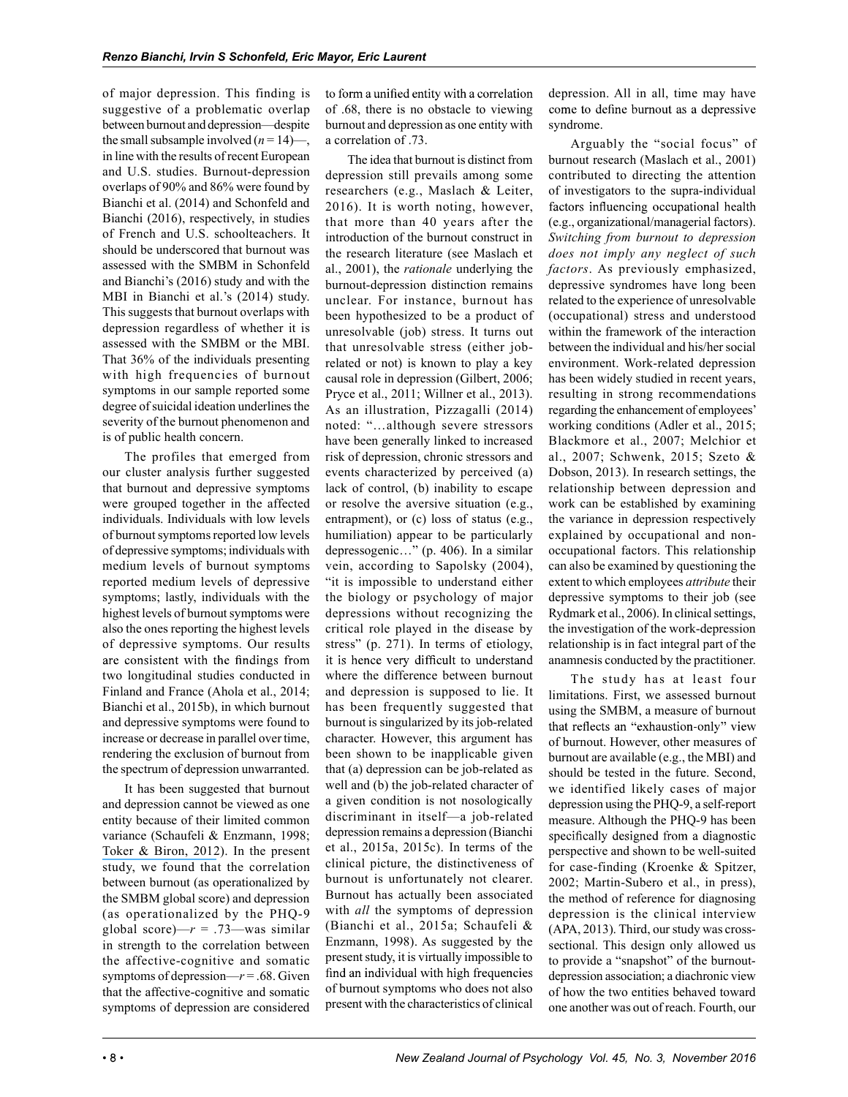of major depression. This finding is suggestive of a problematic overlap between burnout and depression—despite the small subsample involved  $(n = 14)$ —, in line with the results of recent European and U.S. studies. Burnout-depression overlaps of 90% and 86% were found by Bianchi et al. (2014) and Schonfeld and Bianchi (2016), respectively, in studies of French and U.S. schoolteachers. It should be underscored that burnout was assessed with the SMBM in Schonfeld and Bianchi's (2016) study and with the MBI in Bianchi et al.'s (2014) study. This suggests that burnout overlaps with depression regardless of whether it is assessed with the SMBM or the MBI. That 36% of the individuals presenting with high frequencies of burnout symptoms in our sample reported some degree of suicidal ideation underlines the severity of the burnout phenomenon and is of public health concern.

The profiles that emerged from our cluster analysis further suggested that burnout and depressive symptoms were grouped together in the affected individuals. Individuals with low levels of burnout symptoms reported low levels of depressive symptoms; individuals with medium levels of burnout symptoms reported medium levels of depressive symptoms; lastly, individuals with the highest levels of burnout symptoms were also the ones reporting the highest levels of depressive symptoms. Our results are consistent with the findings from two longitudinal studies conducted in Finland and France (Ahola et al., 2014; Bianchi et al., 2015b), in which burnout and depressive symptoms were found to increase or decrease in parallel over time, rendering the exclusion of burnout from the spectrum of depression unwarranted.

It has been suggested that burnout and depression cannot be viewed as one entity because of their limited common variance (Schaufeli & Enzmann, 1998; Toker & Biron, 2012). In the present study, we found that the correlation between burnout (as operationalized by the SMBM global score) and depression (as operationalized by the PHQ-9 global score)— $r = .73$ —was similar in strength to the correlation between the affective-cognitive and somatic symptoms of depression— $r = .68$ . Given that the affective-cognitive and somatic symptoms of depression are considered

to form a unified entity with a correlation of .68, there is no obstacle to viewing burnout and depression as one entity with a correlation of .73.

The idea that burnout is distinct from depression still prevails among some researchers (e.g., Maslach & Leiter, 2016). It is worth noting, however, that more than 40 years after the introduction of the burnout construct in the research literature (see Maslach et al., 2001), the rationale underlying the burnout-depression distinction remains unclear. For instance, burnout has been hypothesized to be a product of unresolvable (job) stress. It turns out that unresolvable stress (either jobrelated or not) is known to play a key causal role in depression (Gilbert, 2006; Pryce et al., 2011; Willner et al., 2013). As an illustration, Pizzagalli (2014) noted: "…although severe stressors have been generally linked to increased risk of depression, chronic stressors and events characterized by perceived (a) lack of control, (b) inability to escape or resolve the aversive situation (e.g., entrapment), or (c) loss of status (e.g., humiliation) appear to be particularly depressogenic…" (p. 406). In a similar vein, according to Sapolsky (2004), "it is impossible to understand either the biology or psychology of major depressions without recognizing the critical role played in the disease by stress" (p. 271). In terms of etiology, it is hence very difficult to understand where the difference between burnout and depression is supposed to lie. It has been frequently suggested that burnout is singularized by its job-related character. However, this argument has been shown to be inapplicable given that (a) depression can be job-related as well and (b) the job-related character of a given condition is not nosologically discriminant in itself—a job-related depression remains a depression (Bianchi et al., 2015a, 2015c). In terms of the clinical picture, the distinctiveness of burnout is unfortunately not clearer. Burnout has actually been associated with *all* the symptoms of depression (Bianchi et al., 2015a; Schaufeli & Enzmann, 1998). As suggested by the present study, it is virtually impossible to find an individual with high frequencies of burnout symptoms who does not also present with the characteristics of clinical

depression. All in all, time may have come to define burnout as a depressive syndrome.

Arguably the "social focus" of burnout research (Maslach et al., 2001) contributed to directing the attention of investigators to the supra-individual factors influencing occupational health (e.g., organizational/managerial factors). Switching from burnout to depression does not imply any neglect of such factors. As previously emphasized, depressive syndromes have long been related to the experience of unresolvable (occupational) stress and understood within the framework of the interaction between the individual and his/her social environment. Work-related depression has been widely studied in recent years, resulting in strong recommendations regarding the enhancement of employees' working conditions (Adler et al., 2015; Blackmore et al., 2007; Melchior et al., 2007; Schwenk, 2015; Szeto & Dobson, 2013). In research settings, the relationship between depression and work can be established by examining the variance in depression respectively explained by occupational and nonoccupational factors. This relationship can also be examined by questioning the extent to which employees attribute their depressive symptoms to their job (see Rydmark et al., 2006). In clinical settings, the investigation of the work-depression relationship is in fact integral part of the anamnesis conducted by the practitioner.

The study has at least four limitations. First, we assessed burnout using the SMBM, a measure of burnout that reflects an "exhaustion-only" view of burnout. However, other measures of burnout are available (e.g., the MBI) and should be tested in the future. Second, we identified likely cases of major depression using the PHQ-9, a self-report measure. Although the PHQ-9 has been specifically designed from a diagnostic perspective and shown to be well-suited for case-finding (Kroenke & Spitzer, 2002; Martin-Subero et al., in press), the method of reference for diagnosing depression is the clinical interview (APA, 2013). Third, our study was crosssectional. This design only allowed us to provide a "snapshot" of the burnoutdepression association; a diachronic view of how the two entities behaved toward one another was out of reach. Fourth, our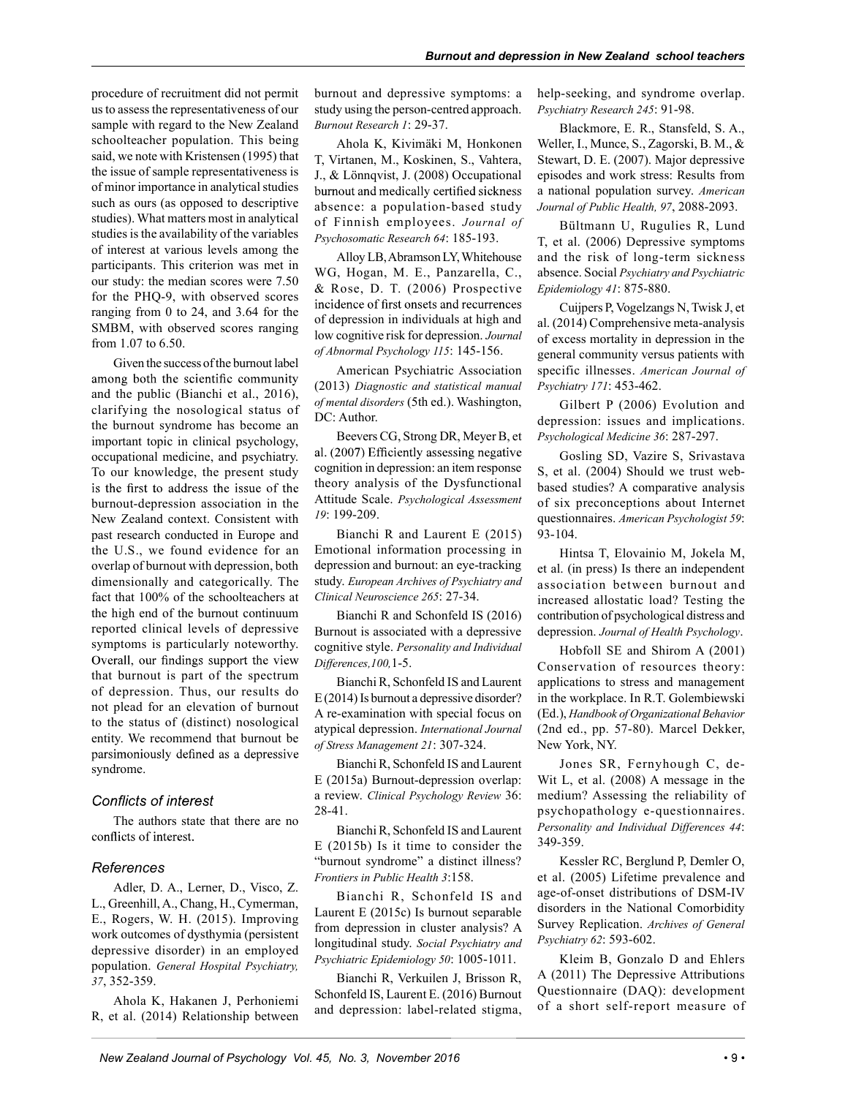procedure of recruitment did not permit us to assess the representativeness of our sample with regard to the New Zealand schoolteacher population. This being said, we note with Kristensen (1995) that the issue of sample representativeness is of minor importance in analytical studies such as ours (as opposed to descriptive studies). What matters most in analytical studies is the availability of the variables of interest at various levels among the participants. This criterion was met in our study: the median scores were 7.50 for the PHQ-9, with observed scores ranging from 0 to 24, and 3.64 for the SMBM, with observed scores ranging from 1.07 to 6.50.

Given the success of the burnout label among both the scientific community and the public (Bianchi et al., 2016), clarifying the nosological status of the burnout syndrome has become an important topic in clinical psychology, occupational medicine, and psychiatry. To our knowledge, the present study is the first to address the issue of the burnout-depression association in the New Zealand context. Consistent with past research conducted in Europe and the U.S., we found evidence for an overlap of burnout with depression, both dimensionally and categorically. The fact that 100% of the schoolteachers at the high end of the burnout continuum reported clinical levels of depressive symptoms is particularly noteworthy. Overall, our findings support the view that burnout is part of the spectrum of depression. Thus, our results do not plead for an elevation of burnout to the status of (distinct) nosological entity. We recommend that burnout be parsimoniously defined as a depressive syndrome.

### **Conflicts of interest**

The authors state that there are no conflicts of interest.

#### References

Adler, D. A., Lerner, D., Visco, Z. L., Greenhill, A., Chang, H., Cymerman, E., Rogers, W. H. (2015). Improving work outcomes of dysthymia (persistent depressive disorder) in an employed population. General Hospital Psychiatry, 37, 352-359.

Ahola K, Hakanen J, Perhoniemi R, et al. (2014) Relationship between burnout and depressive symptoms: a study using the person-centred approach. Burnout Research 1: 29-37.

Ahola K, Kivimäki M, Honkonen T, Virtanen, M., Koskinen, S., Vahtera, J., & Lönnqvist, J. (2008) Occupational burnout and medically certified sickness absence: a population-based study of Finnish employees. Journal of Psychosomatic Research 64: 185-193.

Alloy LB, Abramson LY, Whitehouse WG, Hogan, M. E., Panzarella, C., & Rose, D. T. (2006) Prospective incidence of first onsets and recurrences of depression in individuals at high and low cognitive risk for depression. Journal of Abnormal Psychology 115: 145-156.

American Psychiatric Association (2013) Diagnostic and statistical manual of mental disorders (5th ed.). Washington, DC: Author.

Beevers CG, Strong DR, Meyer B, et al. (2007) Efficiently assessing negative cognition in depression: an item response theory analysis of the Dysfunctional Attitude Scale. Psychological Assessment 19: 199-209.

Bianchi R and Laurent E (2015) Emotional information processing in depression and burnout: an eye-tracking study. European Archives of Psychiatry and Clinical Neuroscience 265: 27-34.

Bianchi R and Schonfeld IS (2016) Burnout is associated with a depressive cognitive style. Personality and Individual Differences,100,1-5.

Bianchi R, Schonfeld IS and Laurent E (2014) Is burnout a depressive disorder? A re-examination with special focus on atypical depression. International Journal of Stress Management 21: 307-324.

Bianchi R, Schonfeld IS and Laurent E (2015a) Burnout-depression overlap: a review. Clinical Psychology Review 36: 28-41.

Bianchi R, Schonfeld IS and Laurent E (2015b) Is it time to consider the "burnout syndrome" a distinct illness? Frontiers in Public Health 3:158.

Bianchi R, Schonfeld IS and Laurent E (2015c) Is burnout separable from depression in cluster analysis? A longitudinal study. Social Psychiatry and Psychiatric Epidemiology 50: 1005-1011.

Bianchi R, Verkuilen J, Brisson R, Schonfeld IS, Laurent E. (2016) Burnout and depression: label-related stigma, help-seeking, and syndrome overlap. Psychiatry Research 245: 91-98.

Blackmore, E. R., Stansfeld, S. A., Weller, I., Munce, S., Zagorski, B. M., & Stewart, D. E. (2007). Major depressive episodes and work stress: Results from a national population survey. American Journal of Public Health, 97, 2088-2093.

Bültmann U, Rugulies R, Lund T, et al. (2006) Depressive symptoms and the risk of long-term sickness absence. Social Psychiatry and Psychiatric Epidemiology 41: 875-880.

Cuijpers P, Vogelzangs N, Twisk J, et al. (2014) Comprehensive meta-analysis of excess mortality in depression in the general community versus patients with specific illnesses. American Journal of Psychiatry 171: 453-462.

Gilbert P (2006) Evolution and depression: issues and implications. Psychological Medicine 36: 287-297.

Gosling SD, Vazire S, Srivastava S, et al. (2004) Should we trust webbased studies? A comparative analysis of six preconceptions about Internet questionnaires. American Psychologist 59: 93-104.

Hintsa T, Elovainio M, Jokela M, et al. (in press) Is there an independent association between burnout and increased allostatic load? Testing the contribution of psychological distress and depression. Journal of Health Psychology.

Hobfoll SE and Shirom A (2001) Conservation of resources theory: applications to stress and management in the workplace. In R.T. Golembiewski (Ed.), Handbook of Organizational Behavior (2nd ed., pp. 57-80). Marcel Dekker, New York, NY.

Jones SR, Fernyhough C, de-Wit L, et al. (2008) A message in the medium? Assessing the reliability of psychopathology e-questionnaires. Personality and Individual Differences 44: 349-359.

Kessler RC, Berglund P, Demler O, et al. (2005) Lifetime prevalence and age-of-onset distributions of DSM-IV disorders in the National Comorbidity Survey Replication. Archives of General Psychiatry 62: 593-602.

Kleim B, Gonzalo D and Ehlers A (2011) The Depressive Attributions Questionnaire (DAQ): development of a short self-report measure of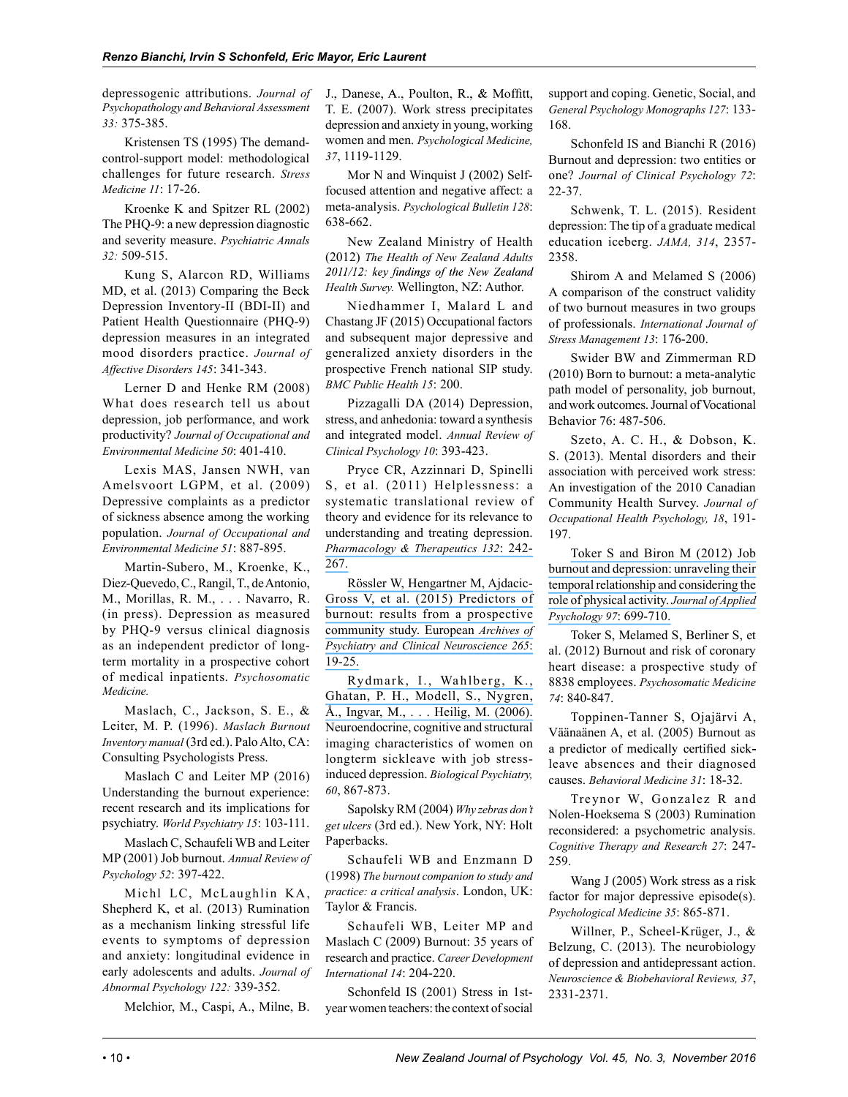depressogenic attributions. Journal of Psychopathology and Behavioral Assessment 33: 375-385.

Kristensen TS (1995) The demandcontrol-support model: methodological challenges for future research. Stress Medicine 11: 17-26.

Kroenke K and Spitzer RL (2002) The PHQ-9: a new depression diagnostic and severity measure. Psychiatric Annals 32: 509-515.

Kung S, Alarcon RD, Williams MD, et al. (2013) Comparing the Beck Depression Inventory-II (BDI-II) and Patient Health Questionnaire (PHQ-9) depression measures in an integrated mood disorders practice. Journal of Affective Disorders 145: 341-343.

Lerner D and Henke RM (2008) What does research tell us about depression, job performance, and work productivity? Journal of Occupational and Environmental Medicine 50: 401-410.

Lexis MAS, Jansen NWH, van Amelsvoort LGPM, et al. (2009) Depressive complaints as a predictor of sickness absence among the working population. Journal of Occupational and Environmental Medicine 51: 887-895.

Martin-Subero, M., Kroenke, K., Diez-Quevedo, C., Rangil, T., de Antonio, M., Morillas, R. M., . . . Navarro, R. (in press). Depression as measured by PHQ-9 versus clinical diagnosis as an independent predictor of longterm mortality in a prospective cohort of medical inpatients. Psychosomatic Medicine.

Maslach, C., Jackson, S. E., & Leiter, M. P. (1996). Maslach Burnout Inventory manual (3rd ed.). Palo Alto, CA: Consulting Psychologists Press.

Maslach C and Leiter MP (2016) Understanding the burnout experience: recent research and its implications for psychiatry. World Psychiatry 15: 103-111.

Maslach C, Schaufeli WB and Leiter MP (2001) Job burnout. Annual Review of Psychology 52: 397-422.

Michl LC, McLaughlin KA, Shepherd K, et al. (2013) Rumination as a mechanism linking stressful life events to symptoms of depression and anxiety: longitudinal evidence in early adolescents and adults. Journal of Abnormal Psychology 122: 339-352.

Melchior, M., Caspi, A., Milne, B.

J., Danese, A., Poulton, R., & Moffitt, T. E. (2007). Work stress precipitates depression and anxiety in young, working women and men. Psychological Medicine, 37, 1119-1129.

Mor N and Winquist J (2002) Selffocused attention and negative affect: a meta-analysis. Psychological Bulletin 128: 638-662.

New Zealand Ministry of Health (2012) The Health of New Zealand Adults 2011/12: key findings of the New Zealand Health Survey. Wellington, NZ: Author.

Niedhammer I, Malard L and Chastang JF (2015) Occupational factors and subsequent major depressive and generalized anxiety disorders in the prospective French national SIP study. BMC Public Health 15: 200.

Pizzagalli DA (2014) Depression, stress, and anhedonia: toward a synthesis and integrated model. Annual Review of Clinical Psychology 10: 393-423.

Pryce CR, Azzinnari D, Spinelli S, et al. (2011) Helplessness: a systematic translational review of theory and evidence for its relevance to understanding and treating depression. Pharmacology & Therapeutics 132: 242- 267.

Rössler W, Hengartner M, Ajdacic-Gross V, et al. (2015) Predictors of burnout: results from a prospective community study. European Archives of Psychiatry and Clinical Neuroscience 265: 19-25.

Rydmark, I., Wahlberg, K., Ghatan, P. H., Modell, S., Nygren, Å., Ingvar, M., . . . Heilig, M. (2006). Neuroendocrine, cognitive and structural imaging characteristics of women on longterm sickleave with job stressinduced depression. Biological Psychiatry, 60, 867-873.

Sapolsky RM (2004) Why zebras don't get ulcers (3rd ed.). New York, NY: Holt Paperbacks.

Schaufeli WB and Enzmann D (1998) The burnout companion to study and practice: a critical analysis. London, UK: Taylor & Francis.

Schaufeli WB, Leiter MP and Maslach C (2009) Burnout: 35 years of research and practice. Career Development International 14: 204-220.

Schonfeld IS (2001) Stress in 1styear women teachers: the context of social support and coping. Genetic, Social, and General Psychology Monographs 127: 133- 168.

Schonfeld IS and Bianchi R (2016) Burnout and depression: two entities or one? Journal of Clinical Psychology 72: 22-37.

Schwenk, T. L. (2015). Resident depression: The tip of a graduate medical education iceberg. JAMA, 314, 2357- 2358.

Shirom A and Melamed S (2006) A comparison of the construct validity of two burnout measures in two groups of professionals. International Journal of Stress Management 13: 176-200.

Swider BW and Zimmerman RD (2010) Born to burnout: a meta-analytic path model of personality, job burnout, and work outcomes. Journal of Vocational Behavior 76: 487-506.

Szeto, A. C. H., & Dobson, K. S. (2013). Mental disorders and their association with perceived work stress: An investigation of the 2010 Canadian Community Health Survey. Journal of Occupational Health Psychology, 18, 191- 197.

Toker S and Biron M (2012) Job burnout and depression: unraveling their temporal relationship and considering the role of physical activity. Journal of Applied Psychology 97: 699-710.

Toker S, Melamed S, Berliner S, et al. (2012) Burnout and risk of coronary heart disease: a prospective study of 8838 employees. Psychosomatic Medicine 74: 840-847.

Toppinen-Tanner S, Ojajärvi A, Väänaänen A, et al. (2005) Burnout as a predictor of medically certified sickleave absences and their diagnosed causes. Behavioral Medicine 31: 18-32.

Treynor W, Gonzalez R and Nolen-Hoeksema S (2003) Rumination reconsidered: a psychometric analysis. Cognitive Therapy and Research 27: 247- 259.

Wang J (2005) Work stress as a risk factor for major depressive episode(s). Psychological Medicine 35: 865-871.

Willner, P., Scheel-Krüger, J., & Belzung, C. (2013). The neurobiology of depression and antidepressant action. Neuroscience & Biobehavioral Reviews, 37, 2331-2371.